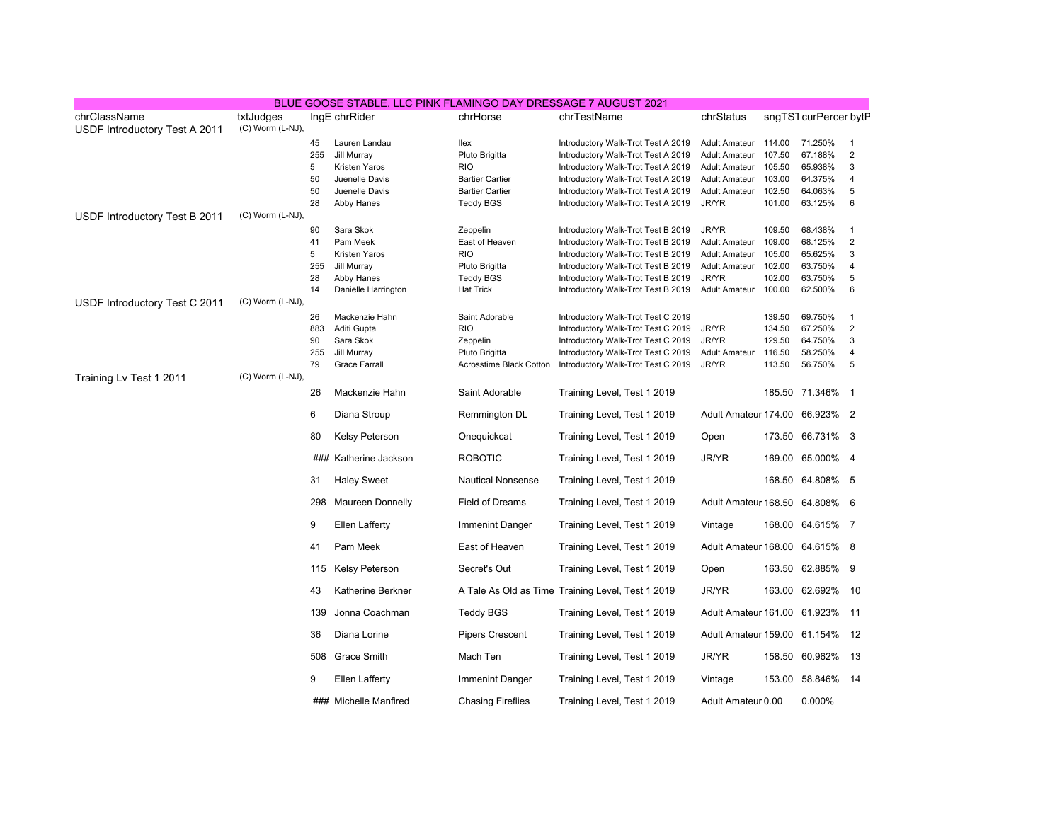|                                               |                               |           | BLUE GOOSE STABLE, LLC PINK FLAMINGO DAY DRESSAGE 7 AUGUST 2021 |                                           |                                                   |                                |                  |                       |                |
|-----------------------------------------------|-------------------------------|-----------|-----------------------------------------------------------------|-------------------------------------------|---------------------------------------------------|--------------------------------|------------------|-----------------------|----------------|
| chrClassName<br>USDF Introductory Test A 2011 | txtJudges<br>(C) Worm (L-NJ), |           | IngE chrRider                                                   | chrHorse                                  | chrTestName                                       | chrStatus                      |                  | sngTST curPercer bytP |                |
|                                               |                               | 45        | Lauren Landau                                                   | llex                                      | Introductory Walk-Trot Test A 2019                | <b>Adult Amateur</b>           | 114.00           | 71.250%               | -1             |
|                                               |                               | 255       | Jill Murray                                                     | Pluto Brigitta                            | Introductory Walk-Trot Test A 2019                | <b>Adult Amateur</b>           | 107.50           | 67.188%               | $\overline{2}$ |
|                                               |                               | 5         | Kristen Yaros                                                   | <b>RIO</b>                                | Introductory Walk-Trot Test A 2019                | <b>Adult Amateur</b>           | 105.50           | 65.938%               | 3              |
|                                               |                               | 50        | Juenelle Davis                                                  | <b>Bartier Cartier</b>                    | Introductory Walk-Trot Test A 2019                | <b>Adult Amateur</b>           | 103.00           | 64.375%               | $\overline{4}$ |
|                                               |                               | 50        | Juenelle Davis                                                  | <b>Bartier Cartier</b>                    | Introductory Walk-Trot Test A 2019                | <b>Adult Amateur</b>           | 102.50           | 64.063%               | 5              |
|                                               |                               | 28        | Abby Hanes                                                      | <b>Teddy BGS</b>                          | Introductory Walk-Trot Test A 2019                | JR/YR                          | 101.00           | 63.125%               | 6              |
| USDF Introductory Test B 2011                 | (C) Worm (L-NJ),              |           |                                                                 |                                           |                                                   |                                |                  |                       |                |
|                                               |                               | 90        | Sara Skok                                                       | Zeppelin                                  | Introductory Walk-Trot Test B 2019                | JR/YR                          | 109.50           | 68.438%               | $\mathbf{1}$   |
|                                               |                               | 41        | Pam Meek                                                        | East of Heaven                            | Introductory Walk-Trot Test B 2019                | <b>Adult Amateur</b>           | 109.00           | 68.125%               | $\sqrt{2}$     |
|                                               |                               | 5         | Kristen Yaros                                                   | <b>RIO</b>                                | Introductory Walk-Trot Test B 2019                | <b>Adult Amateur</b>           | 105.00           | 65.625%               | 3              |
|                                               |                               | 255       | Jill Murray                                                     | Pluto Brigitta                            | Introductory Walk-Trot Test B 2019                | <b>Adult Amateur</b>           | 102.00           | 63.750%               | 4              |
|                                               |                               | 28        | Abby Hanes                                                      | <b>Teddy BGS</b>                          | Introductory Walk-Trot Test B 2019                | JR/YR                          | 102.00           | 63.750%               | $\sqrt{5}$     |
|                                               |                               | 14        | Danielle Harrington                                             | <b>Hat Trick</b>                          | Introductory Walk-Trot Test B 2019                | <b>Adult Amateur</b>           | 100.00           | 62.500%               | 6              |
| USDF Introductory Test C 2011                 | (C) Worm (L-NJ),              |           |                                                                 |                                           |                                                   |                                |                  |                       |                |
|                                               |                               | 26        | Mackenzie Hahn                                                  | Saint Adorable                            | Introductory Walk-Trot Test C 2019                |                                | 139.50           | 69.750%               | $\mathbf{1}$   |
|                                               |                               | 883       | Aditi Gupta                                                     | <b>RIO</b>                                | Introductory Walk-Trot Test C 2019                | JR/YR                          | 134.50           | 67.250%               | $\sqrt{2}$     |
|                                               |                               | 90        | Sara Skok                                                       | Zeppelin                                  | Introductory Walk-Trot Test C 2019                | JR/YR                          | 129.50           | 64.750%               | $\mathsf 3$    |
|                                               |                               | 255<br>79 | Jill Murray<br><b>Grace Farrall</b>                             | Pluto Brigitta<br>Acrosstime Black Cotton | Introductory Walk-Trot Test C 2019                | <b>Adult Amateur</b><br>JR/YR  | 116.50<br>113.50 | 58.250%<br>56.750%    | 4<br>5         |
| Training Lv Test 1 2011                       | $(C)$ Worm $(L-NJ)$ ,         |           |                                                                 |                                           | Introductory Walk-Trot Test C 2019                |                                |                  |                       |                |
|                                               |                               | 26        | Mackenzie Hahn                                                  | Saint Adorable                            | Training Level, Test 1 2019                       |                                |                  | 185.50 71.346% 1      |                |
|                                               |                               | 6         | Diana Stroup                                                    | Remmington DL                             | Training Level, Test 1 2019                       | Adult Amateur 174.00 66.923% 2 |                  |                       |                |
|                                               |                               | 80        | Kelsy Peterson                                                  | Onequickcat                               | Training Level, Test 1 2019                       | Open                           |                  | 173.50 66.731% 3      |                |
|                                               |                               | ###       | Katherine Jackson                                               | <b>ROBOTIC</b>                            | Training Level, Test 1 2019                       | <b>JR/YR</b>                   | 169.00           | 65.000% 4             |                |
|                                               |                               | 31        | <b>Haley Sweet</b>                                              | <b>Nautical Nonsense</b>                  | Training Level, Test 1 2019                       |                                |                  | 168.50 64.808% 5      |                |
|                                               |                               | 298       | <b>Maureen Donnelly</b>                                         | <b>Field of Dreams</b>                    | Training Level, Test 1 2019                       | Adult Amateur 168.50 64.808% 6 |                  |                       |                |
|                                               |                               | 9         | Ellen Lafferty                                                  | Immenint Danger                           | Training Level, Test 1 2019                       | Vintage                        |                  | 168.00 64.615% 7      |                |
|                                               |                               | 41        | Pam Meek                                                        | East of Heaven                            | Training Level, Test 1 2019                       | Adult Amateur 168.00 64.615% 8 |                  |                       |                |
|                                               |                               | 115       | Kelsy Peterson                                                  | Secret's Out                              | Training Level, Test 1 2019                       | Open                           |                  | 163.50 62.885% 9      |                |
|                                               |                               | 43        | Katherine Berkner                                               |                                           | A Tale As Old as Time Training Level, Test 1 2019 | JR/YR                          |                  | 163.00 62.692%        | 10             |
|                                               |                               | 139       | Jonna Coachman                                                  | <b>Teddy BGS</b>                          | Training Level, Test 1 2019                       | Adult Amateur 161.00 61.923%   |                  |                       | 11             |
|                                               |                               | 36        | Diana Lorine                                                    | <b>Pipers Crescent</b>                    | Training Level, Test 1 2019                       | Adult Amateur 159.00 61.154%   |                  |                       | 12             |
|                                               |                               | 508       | Grace Smith                                                     | Mach Ten                                  | Training Level, Test 1 2019                       | JR/YR                          |                  | 158.50 60.962%        | -13            |
|                                               |                               | 9         | <b>Ellen Lafferty</b>                                           | Immenint Danger                           | Training Level, Test 1 2019                       | Vintage                        |                  | 153.00 58.846%        | -14            |
|                                               |                               |           | ### Michelle Manfired                                           | <b>Chasing Fireflies</b>                  | Training Level, Test 1 2019                       | Adult Amateur 0.00             |                  | 0.000%                |                |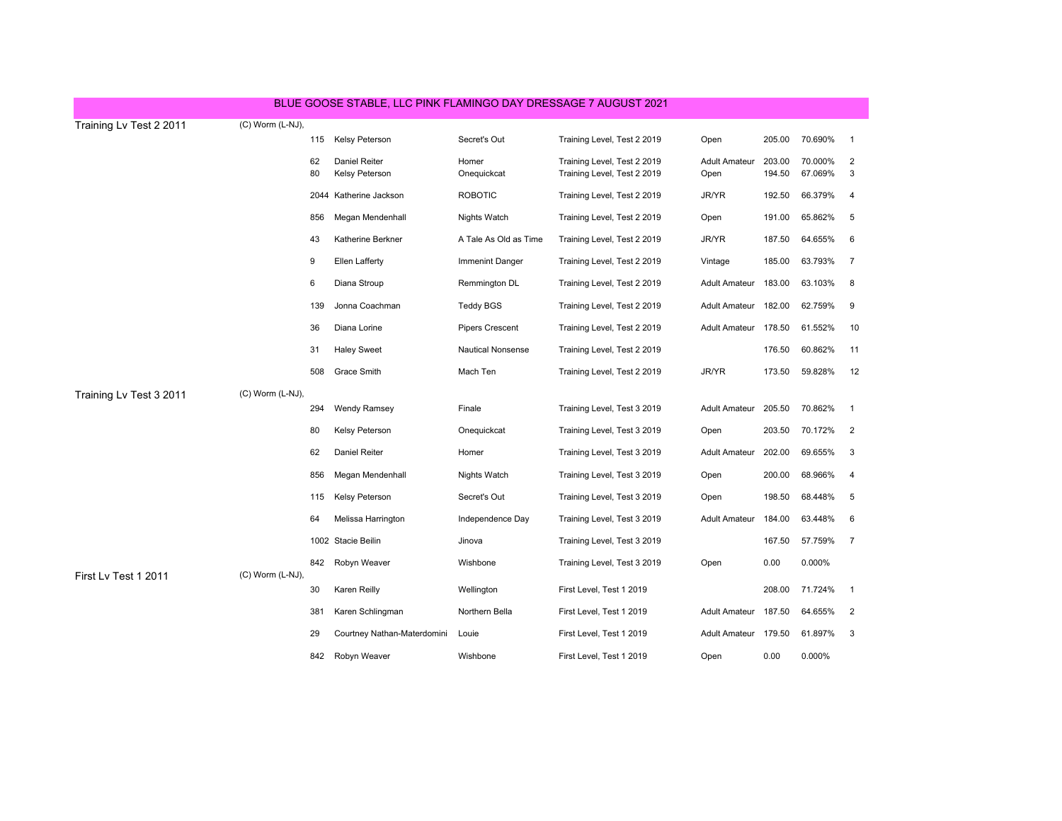| BLUE GOOSE STABLE, LLC PINK FLAMINGO DAY DRESSAGE 7 AUGUST 2021 |                  |     |                             |                          |                             |                      |        |         |                |
|-----------------------------------------------------------------|------------------|-----|-----------------------------|--------------------------|-----------------------------|----------------------|--------|---------|----------------|
| Training Lv Test 2 2011                                         | (C) Worm (L-NJ), |     |                             |                          |                             |                      |        |         |                |
|                                                                 |                  | 115 | <b>Kelsy Peterson</b>       | Secret's Out             | Training Level, Test 2 2019 | Open                 | 205.00 | 70.690% | $\overline{1}$ |
|                                                                 |                  | 62  | <b>Daniel Reiter</b>        | Homer                    | Training Level, Test 2 2019 | <b>Adult Amateur</b> | 203.00 | 70.000% | $\overline{2}$ |
|                                                                 |                  | 80  | Kelsy Peterson              | Onequickcat              | Training Level, Test 2 2019 | Open                 | 194.50 | 67.069% | 3              |
|                                                                 |                  |     | 2044 Katherine Jackson      | <b>ROBOTIC</b>           | Training Level, Test 2 2019 | JR/YR                | 192.50 | 66.379% | $\overline{4}$ |
|                                                                 |                  | 856 | Megan Mendenhall            | <b>Nights Watch</b>      | Training Level, Test 2 2019 | Open                 | 191.00 | 65.862% | 5              |
|                                                                 |                  | 43  | Katherine Berkner           | A Tale As Old as Time    | Training Level, Test 2 2019 | JR/YR                | 187.50 | 64.655% | 6              |
|                                                                 |                  | 9   | Ellen Lafferty              | <b>Immenint Danger</b>   | Training Level, Test 2 2019 | Vintage              | 185.00 | 63.793% | $\overline{7}$ |
|                                                                 |                  | 6   | Diana Stroup                | Remmington DL            | Training Level, Test 2 2019 | <b>Adult Amateur</b> | 183.00 | 63.103% | 8              |
|                                                                 |                  | 139 | Jonna Coachman              | <b>Teddy BGS</b>         | Training Level, Test 2 2019 | <b>Adult Amateur</b> | 182.00 | 62.759% | 9              |
|                                                                 |                  | 36  | Diana Lorine                | <b>Pipers Crescent</b>   | Training Level, Test 2 2019 | <b>Adult Amateur</b> | 178.50 | 61.552% | 10             |
|                                                                 |                  | 31  | <b>Haley Sweet</b>          | <b>Nautical Nonsense</b> | Training Level, Test 2 2019 |                      | 176.50 | 60.862% | 11             |
|                                                                 |                  | 508 | <b>Grace Smith</b>          | Mach Ten                 | Training Level, Test 2 2019 | JR/YR                | 173.50 | 59.828% | 12             |
| Training Lv Test 3 2011                                         | (C) Worm (L-NJ), |     |                             |                          |                             |                      |        |         |                |
|                                                                 |                  | 294 | <b>Wendy Ramsey</b>         | Finale                   | Training Level, Test 3 2019 | <b>Adult Amateur</b> | 205.50 | 70.862% | $\overline{1}$ |
|                                                                 |                  | 80  | Kelsy Peterson              | Onequickcat              | Training Level, Test 3 2019 | Open                 | 203.50 | 70.172% | $\overline{2}$ |
|                                                                 |                  | 62  | <b>Daniel Reiter</b>        | Homer                    | Training Level, Test 3 2019 | <b>Adult Amateur</b> | 202.00 | 69.655% | 3              |
|                                                                 |                  | 856 | Megan Mendenhall            | <b>Nights Watch</b>      | Training Level, Test 3 2019 | Open                 | 200.00 | 68.966% | $\overline{4}$ |
| First Lv Test 1 2011                                            | (C) Worm (L-NJ), | 115 | Kelsy Peterson              | Secret's Out             | Training Level, Test 3 2019 | Open                 | 198.50 | 68.448% | 5              |
|                                                                 |                  | 64  | Melissa Harrington          | Independence Day         | Training Level, Test 3 2019 | <b>Adult Amateur</b> | 184.00 | 63.448% | 6              |
|                                                                 |                  |     | 1002 Stacie Beilin          | Jinova                   | Training Level, Test 3 2019 |                      | 167.50 | 57.759% | $\overline{7}$ |
|                                                                 |                  | 842 | Robyn Weaver                | Wishbone                 | Training Level, Test 3 2019 | Open                 | 0.00   | 0.000%  |                |
|                                                                 |                  | 30  | Karen Reilly                | Wellington               | First Level, Test 1 2019    |                      | 208.00 | 71.724% | $\overline{1}$ |
|                                                                 |                  | 381 | Karen Schlingman            | Northern Bella           | First Level, Test 1 2019    | <b>Adult Amateur</b> | 187.50 | 64.655% | 2              |
|                                                                 |                  | 29  | Courtney Nathan-Materdomini | Louie                    | First Level, Test 1 2019    | Adult Amateur 179.50 |        | 61.897% | 3              |
|                                                                 |                  | 842 | Robyn Weaver                | Wishbone                 | First Level, Test 1 2019    | Open                 | 0.00   | 0.000%  |                |